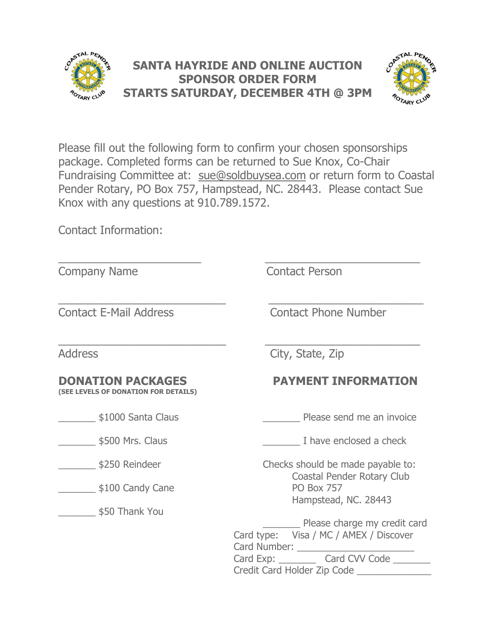



Please fill out the following form to confirm your chosen sponsorships package. Completed forms can be returned to Sue Knox, Co-Chair Fundraising Committee at: [sue@soldbuysea.com](mailto:sue@soldbuysea.com) or return form to Coastal Pender Rotary, PO Box 757, Hampstead, NC. 28443. Please contact Sue Knox with any questions at 910.789.1572.

Contact Information:

| <b>Company Name</b>                                              | <b>Contact Person</b>                                                                                                                                                                     |
|------------------------------------------------------------------|-------------------------------------------------------------------------------------------------------------------------------------------------------------------------------------------|
| <b>Contact E-Mail Address</b>                                    | <b>Contact Phone Number</b>                                                                                                                                                               |
| <b>Address</b>                                                   | City, State, Zip                                                                                                                                                                          |
| <b>DONATION PACKAGES</b><br>(SEE LEVELS OF DONATION FOR DETAILS) | <b>PAYMENT INFORMATION</b>                                                                                                                                                                |
| \$1000 Santa Claus                                               | Please send me an invoice                                                                                                                                                                 |
| \$500 Mrs. Claus                                                 | I have enclosed a check                                                                                                                                                                   |
| \$250 Reindeer                                                   | Checks should be made payable to:                                                                                                                                                         |
| $$100$ Candy Cane                                                | Coastal Pender Rotary Club<br><b>PO Box 757</b>                                                                                                                                           |
| \$50 Thank You                                                   | Hampstead, NC. 28443<br>Please charge my credit card<br>Card type: Visa / MC / AMEX / Discover<br>Card Number: _______<br>Card Exp: Card CVV Code<br>Credit Card Holder Zip Code ________ |